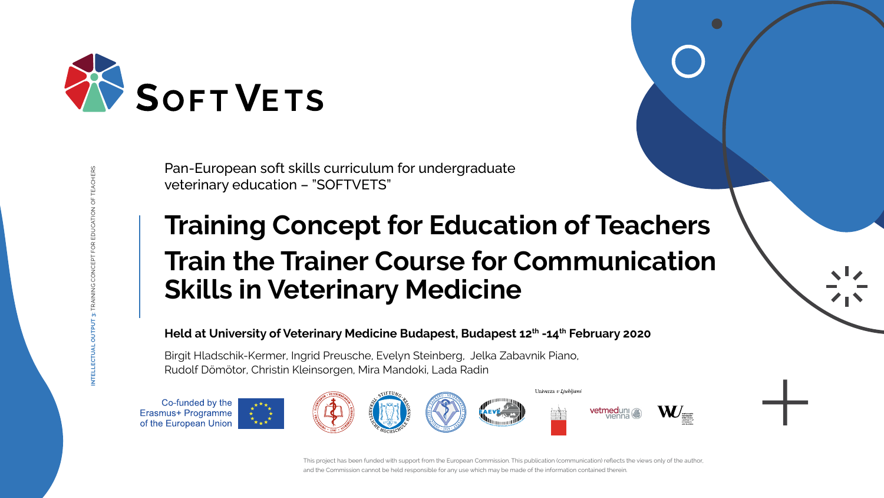# **Training Concept for Education of Teachers Train the Trainer Course for Communication Skills in Veterinary Medicine**

# Held at University of Veterinary Medicine Budapest, Budapest 12<sup>th</sup> -14<sup>th</sup> February 2020

This project has been funded with support from the European Commission. This publication (communication) reflects the views only of the author, and the Commission cannot be held responsible for any use which may be made of the information contained therein.

**INTELLECTUAL OUTPUT 3:** TRAINING CONCEPT FOR EDUCATION OF TEACHERS







Pan-European soft skills curriculum for undergraduate veterinary education – "SOFTVETS"

Birgit Hladschik-Kermer, Ingrid Preusche, Evelyn Steinberg, Jelka Zabavnik Piano, Rudolf Dömötor, Christin Kleinsorgen, Mira Mandoki, Lada Radin

Co-funded by the Erasmus+ Programme of the European Union





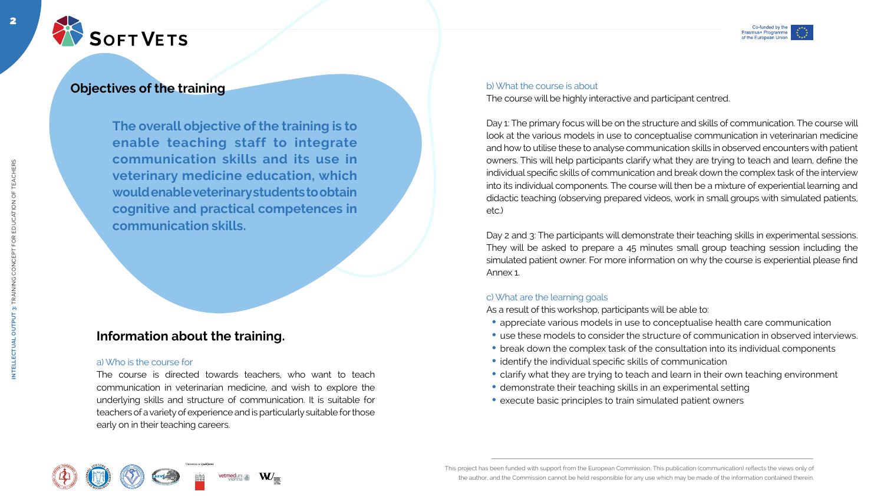

# **Objectives of the training and the training of the training b) What the course is about**

This project has been funded with support from the European Commission. This publication (communication) reflects the views only of the author, and the Commission cannot be held responsible for any use which may be made of the information contained therein.









2

**The overall objective of the training is to enable teaching staff to integrate communication skills and its use in veterinary medicine education, which would enable veterinary students to obtain cognitive and practical competences in communication skills.**

The course will be highly interactive and participant centred.

Day 2 and 3: The participants will demonstrate their teaching skills in experimental sessions. They will be asked to prepare a 45 minutes small group teaching session including the simulated patient owner. For more information on why the course is experiential please find Annex 1.

Day 1: The primary focus will be on the structure and skills of communication. The course will look at the various models in use to conceptualise communication in veterinarian medicine and how to utilise these to analyse communication skills in observed encounters with patient owners. This will help participants clarify what they are trying to teach and learn, define the individual specific skills of communication and break down the complex task of the interview into its individual components. The course will then be a mixture of experiential learning and didactic teaching (observing prepared videos, work in small groups with simulated patients, etc.)

#### c) What are the learning goals

As a result of this workshop, participants will be able to:

- appreciate various models in use to conceptualise health care communication
- use these models to consider the structure of communication in observed interviews.
- break down the complex task of the consultation into its individual components
- identify the individual specific skills of communication
- clarify what they are trying to teach and learn in their own teaching environment
- demonstrate their teaching skills in an experimental setting
- execute basic principles to train simulated patient owners

# **Information about the training.**

#### a) Who is the course for

The course is directed towards teachers, who want to teach communication in veterinarian medicine, and wish to explore the underlying skills and structure of communication. It is suitable for teachers of a variety of experience and is particularly suitable for those early on in their teaching careers.







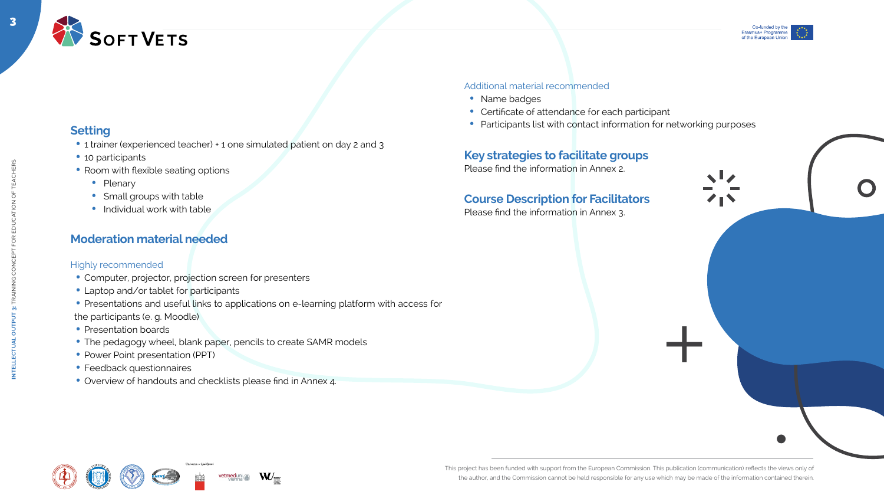



# **Setting**

- 1 trainer (experienced teacher) + 1 one simulated patient on day 2 and 3
- 10 participants
- Room with flexible seating options
	- Plenary
	- Small groups with table
	- $\bullet$  Individual work with table

# **Moderation material needed**

#### Highly recommended

- Computer, projector, projection screen for presenters
- Laptop and/or tablet for participants
- Presentations and useful links to applications on e-learning platform with access for the participants (e. g. Moodle)
- Presentation boards
- The pedagogy wheel, blank paper, pencils to create SAMR models
- Power Point presentation (PPT)
- Feedback questionnaires
- Overview of handouts and checklists please find in Annex 4.











#### Additional material recommended

- Name badges
- Certificate of attendance for each participant
- Participants list with contact information for networking purposes

# **Key strategies to facilitate groups**

Please find the information in Annex 2.

# **Course Description for Facilitators**

Please find the information in Annex 3.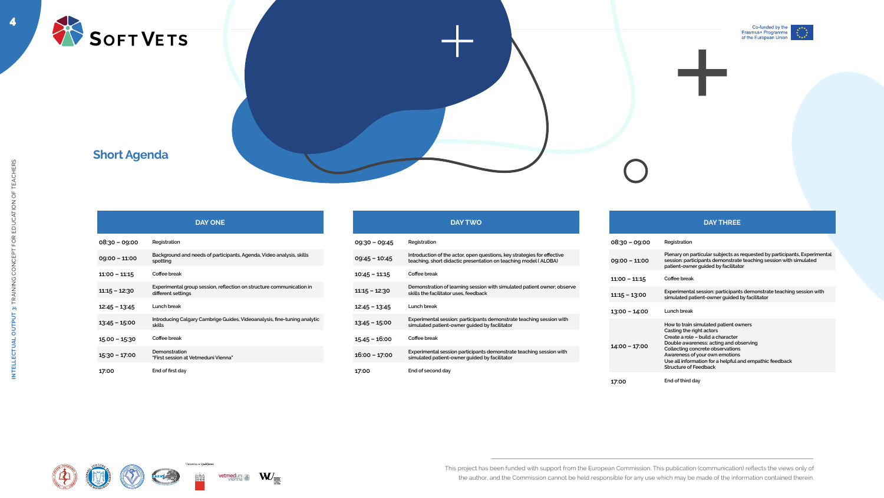





4

|                 | <b>DAY ONE</b>                                                                             |
|-----------------|--------------------------------------------------------------------------------------------|
| $08:30 - 09:00$ | Registration                                                                               |
| $09:00 - 11:00$ | Background and needs of participants, Agenda, Video analysis, skills<br>spotting           |
| $11:00 - 11:15$ | Coffee break                                                                               |
| $11:15 - 12:30$ | Experimental group session, reflection on structure communication in<br>different settings |
| $12:45 - 13:45$ | Lunch break                                                                                |
| $13:45 - 15:00$ | Introducing Calgary Cambrige Guides, Videoanalysis, fine-tuning analytic<br>skills         |
| $15.00 - 15.30$ | Coffee break                                                                               |
| $15:30 - 17:00$ | Demonstration<br>"First session at Vetmeduni Vienna"                                       |
| 17:00           | End of first day                                                                           |















#### **DAY TWO**

#### **09:30 – 09:45 Registration**

**09:45 – 10:45 Introduction of the actor, open questions, key strategies for effective teaching, short didactic presentation on teaching model ( ALOBA)**

#### **10:45 – 11:15 Coffee break**

**11:15 – 12:30 Demonstration of learning session with simulated patient owner; observe skills the facilitator uses, feedback**

#### **12:45 – 13:45 Lunch break**

**13:45 – 15:00 Experimental session: participants demonstrate teaching session with simulated patient-owner guided by facilitator**

#### **15.45 – 16:00 Coffee break**

**16:00 – 17:00 Experimental session participants demonstrate teaching session with simulated patient-owner guided by facilitator**

**17:00 End of second day**

|                 | <b>DAY THREE</b>                                                                                                                                                                                                                                                                                                  |
|-----------------|-------------------------------------------------------------------------------------------------------------------------------------------------------------------------------------------------------------------------------------------------------------------------------------------------------------------|
| 08:30 - 09:00   | Registration                                                                                                                                                                                                                                                                                                      |
| $09:00 - 11:00$ | Plenary on particular subjects as requested by participants, Experimental<br>session: participants demonstrate teaching session with simulated<br>patient-owner guided by facilitator                                                                                                                             |
| $11:00 - 11:15$ | Coffee break                                                                                                                                                                                                                                                                                                      |
| $11:15 - 13:00$ | Experimental session: participants demonstrate teaching session with<br>simulated patient-owner guided by facilitator                                                                                                                                                                                             |
| $13:00 - 14:00$ | Lunch break                                                                                                                                                                                                                                                                                                       |
| $14:00 - 17:00$ | How to train simulated patient owners<br>Casting the right actors<br>Create a role - build a character<br>Double awareness: acting and observing<br>Collecting concrete observations<br>Awareness of your own emotions<br>Use all information for a helpful and empathic feedback<br><b>Structure of Feedback</b> |
| 17:00           | End of third day                                                                                                                                                                                                                                                                                                  |



# **Short Agenda**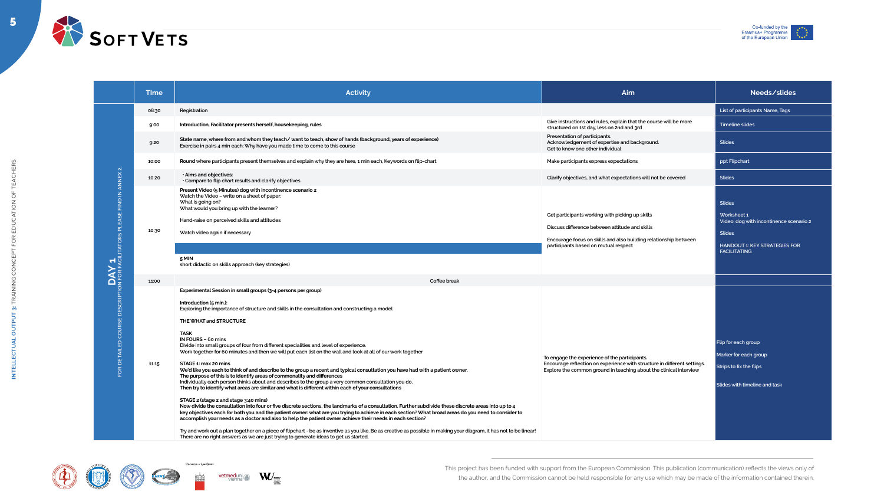

5



**INTELLECTUAL OUTPUT 3:** TRAINING CONCEPT FOR EDUCATION OF TEACHERS

INTELLECTUAL OUTPUT 3: TRAINING CONCEPT FOR EDUCATION OF TEACHERS



| <b>Time</b> | <b>Activity</b>                                                                                                                                                                                                                                                                                                                                                                                                                                                                                                                                                                                                                                                                                                                                                                                                                                                                                                                                                                                                                                                                                                                                                                                                                                                                                                                                                                                                                                                                                                                                                                                                                                                |
|-------------|----------------------------------------------------------------------------------------------------------------------------------------------------------------------------------------------------------------------------------------------------------------------------------------------------------------------------------------------------------------------------------------------------------------------------------------------------------------------------------------------------------------------------------------------------------------------------------------------------------------------------------------------------------------------------------------------------------------------------------------------------------------------------------------------------------------------------------------------------------------------------------------------------------------------------------------------------------------------------------------------------------------------------------------------------------------------------------------------------------------------------------------------------------------------------------------------------------------------------------------------------------------------------------------------------------------------------------------------------------------------------------------------------------------------------------------------------------------------------------------------------------------------------------------------------------------------------------------------------------------------------------------------------------------|
| 08:30       | Registration                                                                                                                                                                                                                                                                                                                                                                                                                                                                                                                                                                                                                                                                                                                                                                                                                                                                                                                                                                                                                                                                                                                                                                                                                                                                                                                                                                                                                                                                                                                                                                                                                                                   |
| 9:00        | Introduction, Facilitator presents herself, housekeeping, rules                                                                                                                                                                                                                                                                                                                                                                                                                                                                                                                                                                                                                                                                                                                                                                                                                                                                                                                                                                                                                                                                                                                                                                                                                                                                                                                                                                                                                                                                                                                                                                                                |
| 9:20        | State name, where from and whom they teach/ want to teach, show of hands (background, years of experience)<br>Exercise in pairs 4 min each: Why have you made time to come to this course                                                                                                                                                                                                                                                                                                                                                                                                                                                                                                                                                                                                                                                                                                                                                                                                                                                                                                                                                                                                                                                                                                                                                                                                                                                                                                                                                                                                                                                                      |
| 10:00       | Round where participants present themselves and explain why they are here, 1 min each, Keywords on flip-chart                                                                                                                                                                                                                                                                                                                                                                                                                                                                                                                                                                                                                                                                                                                                                                                                                                                                                                                                                                                                                                                                                                                                                                                                                                                                                                                                                                                                                                                                                                                                                  |
| 10:20       | · Aims and objectives:<br>Compare to flip chart results and clarify objectives                                                                                                                                                                                                                                                                                                                                                                                                                                                                                                                                                                                                                                                                                                                                                                                                                                                                                                                                                                                                                                                                                                                                                                                                                                                                                                                                                                                                                                                                                                                                                                                 |
| 10:30       | Present Video (5 Minutes) dog with incontinence scenario 2<br>Watch the Video - write on a sheet of paper:<br>What is going on?<br>What would you bring up with the learner?<br>Hand-raise on perceived skills and attitudes<br>Watch video again if necessary                                                                                                                                                                                                                                                                                                                                                                                                                                                                                                                                                                                                                                                                                                                                                                                                                                                                                                                                                                                                                                                                                                                                                                                                                                                                                                                                                                                                 |
|             |                                                                                                                                                                                                                                                                                                                                                                                                                                                                                                                                                                                                                                                                                                                                                                                                                                                                                                                                                                                                                                                                                                                                                                                                                                                                                                                                                                                                                                                                                                                                                                                                                                                                |
|             | 5 MIN<br>short didactic on skills approach (key strategies)                                                                                                                                                                                                                                                                                                                                                                                                                                                                                                                                                                                                                                                                                                                                                                                                                                                                                                                                                                                                                                                                                                                                                                                                                                                                                                                                                                                                                                                                                                                                                                                                    |
| 11:00       | Coffee break                                                                                                                                                                                                                                                                                                                                                                                                                                                                                                                                                                                                                                                                                                                                                                                                                                                                                                                                                                                                                                                                                                                                                                                                                                                                                                                                                                                                                                                                                                                                                                                                                                                   |
| 11:15       | Experimental Session in small groups (3-4 persons per group)<br>Introduction (5 min.):<br>Exploring the importance of structure and skills in the consultation and constructing a model<br>THE WHAT and STRUCTURE<br><b>TASK</b><br><b>IN FOURS - 60 mins</b><br>Divide into small groups of four from different specialities and level of experience.<br>Work together for 60 minutes and then we will put each list on the wall and look at all of our work together<br>STAGE 1: max 20 mins<br>We'd like you each to think of and describe to the group a recent and typical consultation you have had with a patient owner.<br>The purpose of this is to identify areas of commonality and differences<br>Individually each person thinks about and describes to the group a very common consultation you do.<br>Then try to identify what areas are similar and what is different within each of your consultations<br>STAGE 2 (stage 2 and stage 3:40 mins)<br>Now divide the consultation into four or five discrete sections, the landmarks of a consultation. Further subdivide these discrete areas into up to 4<br>key objectives each for both you and the patient owner: what are you trying to achieve in each section? What broad areas do you need to consider to<br>accomplish your needs as a doctor and also to help the patient owner achieve their needs in each section?<br>Try and work out a plan together on a piece of flipchart - be as inventive as you like. Be as creative as possible in making your diagram, it has not to be linear!<br>There are no right answers as we are just trying to generate ideas to get us started. |
|             |                                                                                                                                                                                                                                                                                                                                                                                                                                                                                                                                                                                                                                                                                                                                                                                                                                                                                                                                                                                                                                                                                                                                                                                                                                                                                                                                                                                                                                                                                                                                                                                                                                                                |











| <b>Time</b> | <b>Activity</b><br>Aim                                                                                                                                                                                                                                                                                                                                                                                                                                                                                                                                                                                                                                                                                                                                                                                                                                                                                                                                                                                                                                                                                                                                                                                                                                                                                                                                                                                                                                                                                                                                                                                                                                  |                                                                                                                                                                                                               | Needs/slides                                                                                                                                            |
|-------------|---------------------------------------------------------------------------------------------------------------------------------------------------------------------------------------------------------------------------------------------------------------------------------------------------------------------------------------------------------------------------------------------------------------------------------------------------------------------------------------------------------------------------------------------------------------------------------------------------------------------------------------------------------------------------------------------------------------------------------------------------------------------------------------------------------------------------------------------------------------------------------------------------------------------------------------------------------------------------------------------------------------------------------------------------------------------------------------------------------------------------------------------------------------------------------------------------------------------------------------------------------------------------------------------------------------------------------------------------------------------------------------------------------------------------------------------------------------------------------------------------------------------------------------------------------------------------------------------------------------------------------------------------------|---------------------------------------------------------------------------------------------------------------------------------------------------------------------------------------------------------------|---------------------------------------------------------------------------------------------------------------------------------------------------------|
| 08:30       | Registration                                                                                                                                                                                                                                                                                                                                                                                                                                                                                                                                                                                                                                                                                                                                                                                                                                                                                                                                                                                                                                                                                                                                                                                                                                                                                                                                                                                                                                                                                                                                                                                                                                            |                                                                                                                                                                                                               | List of participants Name, Tags                                                                                                                         |
| 9:00        | Introduction, Facilitator presents herself, housekeeping, rules                                                                                                                                                                                                                                                                                                                                                                                                                                                                                                                                                                                                                                                                                                                                                                                                                                                                                                                                                                                                                                                                                                                                                                                                                                                                                                                                                                                                                                                                                                                                                                                         | Give instructions and rules, explain that the course will be more<br>structured on 1st day, less on 2nd and 3rd                                                                                               | <b>Timeline slides</b>                                                                                                                                  |
| 9:20        | State name, where from and whom they teach/want to teach, show of hands (background, years of experience)<br>Exercise in pairs 4 min each: Why have you made time to come to this course                                                                                                                                                                                                                                                                                                                                                                                                                                                                                                                                                                                                                                                                                                                                                                                                                                                                                                                                                                                                                                                                                                                                                                                                                                                                                                                                                                                                                                                                | Presentation of participants.<br>Acknowledgement of expertise and background.<br>Get to know one other individual                                                                                             | <b>Slides</b>                                                                                                                                           |
| 10:00       | Round where participants present themselves and explain why they are here, 1 min each, Keywords on flip-chart                                                                                                                                                                                                                                                                                                                                                                                                                                                                                                                                                                                                                                                                                                                                                                                                                                                                                                                                                                                                                                                                                                                                                                                                                                                                                                                                                                                                                                                                                                                                           | Make participants express expectations                                                                                                                                                                        | ppt Flipchart                                                                                                                                           |
| 10:20       | . Aims and objectives:<br>Clarify objectives, and what expectations will not be covered<br>• Compare to flip chart results and clarify objectives                                                                                                                                                                                                                                                                                                                                                                                                                                                                                                                                                                                                                                                                                                                                                                                                                                                                                                                                                                                                                                                                                                                                                                                                                                                                                                                                                                                                                                                                                                       |                                                                                                                                                                                                               | <b>Slides</b>                                                                                                                                           |
| 10:30       | Present Video (5 Minutes) dog with incontinence scenario 2<br>Watch the Video - write on a sheet of paper:<br>What is going on?<br>What would you bring up with the learner?<br>Hand-raise on perceived skills and attitudes<br>Watch video again if necessary<br>5 MIN<br>short didactic on skills approach (key strategies)                                                                                                                                                                                                                                                                                                                                                                                                                                                                                                                                                                                                                                                                                                                                                                                                                                                                                                                                                                                                                                                                                                                                                                                                                                                                                                                           | Get participants working with picking up skills<br>Discuss difference between attitude and skills<br>Encourage focus on skills and also building relationship between<br>participants based on mutual respect | <b>Slides</b><br>Worksheet 1<br>Video: dog with incontinence scenario 2<br><b>Slides</b><br><b>HANDOUT 1: KEY STRATEGIES FOR</b><br><b>FACILITATING</b> |
| 11:00       | Coffee break                                                                                                                                                                                                                                                                                                                                                                                                                                                                                                                                                                                                                                                                                                                                                                                                                                                                                                                                                                                                                                                                                                                                                                                                                                                                                                                                                                                                                                                                                                                                                                                                                                            |                                                                                                                                                                                                               |                                                                                                                                                         |
| 11:15       | Experimental Session in small groups (3-4 persons per group)<br>Introduction (5 min.):<br>Exploring the importance of structure and skills in the consultation and constructing a model<br>THE WHAT and STRUCTURE<br><b>TASK</b><br>IN FOURS - 60 mins<br>Divide into small groups of four from different specialities and level of experience.<br>Work together for 60 minutes and then we will put each list on the wall and look at all of our work together<br>STAGE 1: max 20 mins<br>We'd like you each to think of and describe to the group a recent and typical consultation you have had with a patient owner.<br>The purpose of this is to identify areas of commonality and differences<br>Individually each person thinks about and describes to the group a very common consultation you do.<br>Then try to identify what areas are similar and what is different within each of your consultations<br>STAGE 2 (stage 2 and stage 3:40 mins)<br>Now divide the consultation into four or five discrete sections, the landmarks of a consultation. Further subdivide these discrete areas into up to 4<br>key objectives each for both you and the patient owner: what are you trying to achieve in each section? What broad areas do you need to consider to<br>accomplish your needs as a doctor and also to help the patient owner achieve their needs in each section?<br>Try and work out a plan together on a piece of flipchart - be as inventive as you like. Be as creative as possible in making your diagram, it has not to be linear!<br>There are no right answers as we are just trying to generate ideas to get us started. | To engage the experience of the participants.<br>Encourage reflection on experience with structure in different settings.<br>Explore the common ground in teaching about the clinical interview               | Flip for each group<br>Marker for each group<br>Strips to fix the flips<br>Slides with timeline and task                                                |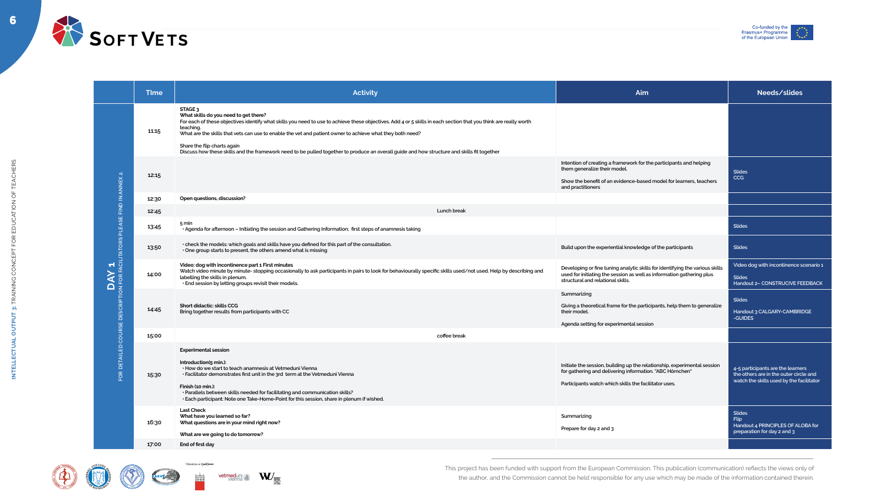



| <b>Time</b> | <b>Activity</b>                                                                                                                                                                                                                                                                                                                                                                                                                                                                                                                         | Aim                                                                                                                                                                                           | Needs/slides                                                                                                            |
|-------------|-----------------------------------------------------------------------------------------------------------------------------------------------------------------------------------------------------------------------------------------------------------------------------------------------------------------------------------------------------------------------------------------------------------------------------------------------------------------------------------------------------------------------------------------|-----------------------------------------------------------------------------------------------------------------------------------------------------------------------------------------------|-------------------------------------------------------------------------------------------------------------------------|
| 11:15       | STAGE <sub>3</sub><br>What skills do you need to get there?<br>For each of these objectives identify what skills you need to use to achieve these objectives. Add 4 or 5 skills in each section that you think are really worth<br>teaching.<br>What are the skills that vets can use to enable the vet and patient owner to achieve what they both need?<br>Share the flip charts again<br>Discuss how these skills and the framework need to be pulled together to produce an overall guide and how structure and skills fit together |                                                                                                                                                                                               |                                                                                                                         |
| 12:15       |                                                                                                                                                                                                                                                                                                                                                                                                                                                                                                                                         | Intention of creating a framework for the participants and helping<br>them generalize their model.<br>Show the benefit of an evidence-based model for learners, teachers<br>and practitioners | <b>Slides</b><br><b>CCG</b>                                                                                             |
| 12:30       | Open questions, discussion?                                                                                                                                                                                                                                                                                                                                                                                                                                                                                                             |                                                                                                                                                                                               |                                                                                                                         |
| 12:45       | Lunch break                                                                                                                                                                                                                                                                                                                                                                                                                                                                                                                             |                                                                                                                                                                                               |                                                                                                                         |
| 13:45       | 5 min<br>· Agenda for afternoon - Initiating the session and Gathering Information; first steps of anamnesis taking                                                                                                                                                                                                                                                                                                                                                                                                                     |                                                                                                                                                                                               | <b>Slides</b>                                                                                                           |
| 13:50       | • check the models: which goals and skills have you defined for this part of the consultation.<br>• One group starts to present, the others amend what is missing                                                                                                                                                                                                                                                                                                                                                                       | Build upon the experiential knowledge of the participants                                                                                                                                     | <b>Slides</b>                                                                                                           |
| 14:00       | Video: dog with incontinence part 1 First minutes<br>Watch video minute by minute- stopping occasionally to ask participants in pairs to look for behaviourally specific skills used/not used. Help by describing and<br>labelling the skills in plenum.<br>· End session by letting groups revisit their models.                                                                                                                                                                                                                       | Developing or fine tuning analytic skills for identifying the various skills<br>used for initiating the session as well as information gathering plus<br>structural and relational skills.    | Video dog with incontinence scenario 1<br><b>Slides</b><br><b>Handout 2- CONSTRUCIVE FEEDBACK</b>                       |
| 14:45       | <b>Short didactic: skills CCG</b><br>Bring together results from participants with CC                                                                                                                                                                                                                                                                                                                                                                                                                                                   | Summarizing<br>Giving a theoretical frame for the participants, help them to generalize<br>their model.<br>Agenda setting for experimental session                                            | <b>Slides</b><br>Handout 3 CALGARY-CAMBRIDGE<br>-GUIDES                                                                 |
| 15:00       | coffee break                                                                                                                                                                                                                                                                                                                                                                                                                                                                                                                            |                                                                                                                                                                                               |                                                                                                                         |
| 15:30       | <b>Experimental session</b><br>Introduction(5 min.):<br>· How do we start to teach anamnesis at Vetmeduni Vienna<br>· Facilitator demonstrates first unit in the 3rd term at the Vetmeduni Vienna<br>Finish (10 min.):<br>· Parallels between skills needed for facilitating and communication skills?<br>· Each participant: Note one Take-Home-Point for this session, share in plenum if wished.                                                                                                                                     | Initiate the session, building up the relationship, experimental session<br>for gathering and delivering information. "ABC Hörnchen"<br>Participants watch which skills the facilitator uses. | 4-5 participants are the learners<br>the others are in the outer circle and<br>watch the skills used by the facilitator |
| 16:30       | <b>Last Check</b><br>What have you learned so far?<br>What questions are in your mind right now?<br>What are we going to do tomorrow?                                                                                                                                                                                                                                                                                                                                                                                                   | Summarizing<br>Prepare for day 2 and 3                                                                                                                                                        | <b>Slides</b><br><b>Flip</b><br>Handout 4 PRINCIPLES OF ALOBA for<br>preparation for day 2 and 3                        |
| 17:00       | End of first day                                                                                                                                                                                                                                                                                                                                                                                                                                                                                                                        |                                                                                                                                                                                               |                                                                                                                         |



|                                                                                                           | <b>Time</b> | <b>Activity</b>                                                                                                                                                                                                                                                                                                                                                                                                                                                                                                                     |
|-----------------------------------------------------------------------------------------------------------|-------------|-------------------------------------------------------------------------------------------------------------------------------------------------------------------------------------------------------------------------------------------------------------------------------------------------------------------------------------------------------------------------------------------------------------------------------------------------------------------------------------------------------------------------------------|
| $\overline{N}$                                                                                            | 11:15       | <b>STAGE 3</b><br>What skills do you need to get there?<br>For each of these objectives identify what skills you need to use to achieve these objectives. Add 4 or 5 skills in each section that you think are really worth<br>teaching.<br>What are the skills that vets can use to enable the vet and patient owner to achieve what they both need?<br>Share the flip charts again<br>Discuss how these skills and the framework need to be pulled together to produce an overall guide and how structure and skills fit together |
|                                                                                                           | 12:15       |                                                                                                                                                                                                                                                                                                                                                                                                                                                                                                                                     |
|                                                                                                           | 12:30       | Open questions, discussion?                                                                                                                                                                                                                                                                                                                                                                                                                                                                                                         |
|                                                                                                           | 12:45       | Lunch break                                                                                                                                                                                                                                                                                                                                                                                                                                                                                                                         |
|                                                                                                           | 13:45       | 5 min<br>· Agenda for afternoon - Initiating the session and Gathering Information; first steps of anamnesis taking                                                                                                                                                                                                                                                                                                                                                                                                                 |
| FOR FACILITATORS PLEASE<br>$\blacktriangledown$<br><b>DESCRIPTION</b><br>COURSE<br><b>DETAILED</b><br>FOR | 13:50       | • check the models: which goals and skills have you defined for this part of the consultation.<br>One group starts to present, the others amend what is missing                                                                                                                                                                                                                                                                                                                                                                     |
|                                                                                                           | 14:00       | Video: dog with incontinence part 1 First minutes<br>Watch video minute by minute- stopping occasionally to ask participants in pairs to look for behaviourally specific skills used/not used. Help by describing and<br>labelling the skills in plenum.<br>· End session by letting groups revisit their models.                                                                                                                                                                                                                   |
|                                                                                                           | 14:45       | <b>Short didactic: skills CCG</b><br>Bring together results from participants with CC                                                                                                                                                                                                                                                                                                                                                                                                                                               |
|                                                                                                           | 15:00       | coffee break                                                                                                                                                                                                                                                                                                                                                                                                                                                                                                                        |
|                                                                                                           | 15:30       | <b>Experimental session</b><br>Introduction(5 min.):<br>· How do we start to teach anamnesis at Vetmeduni Vienna<br>• Facilitator demonstrates first unit in the 3rd term at the Vetmeduni Vienna<br>Finish (10 min.):<br>· Parallels between skills needed for facilitating and communication skills?<br>. Each participant: Note one Take-Home-Point for this session, share in plenum if wished.                                                                                                                                 |
|                                                                                                           | 16:30       | <b>Last Check</b><br>What have you learned so far?<br>What questions are in your mind right now?<br>What are we going to do tomorrow?                                                                                                                                                                                                                                                                                                                                                                                               |
|                                                                                                           | 17:00       | End of first day                                                                                                                                                                                                                                                                                                                                                                                                                                                                                                                    |







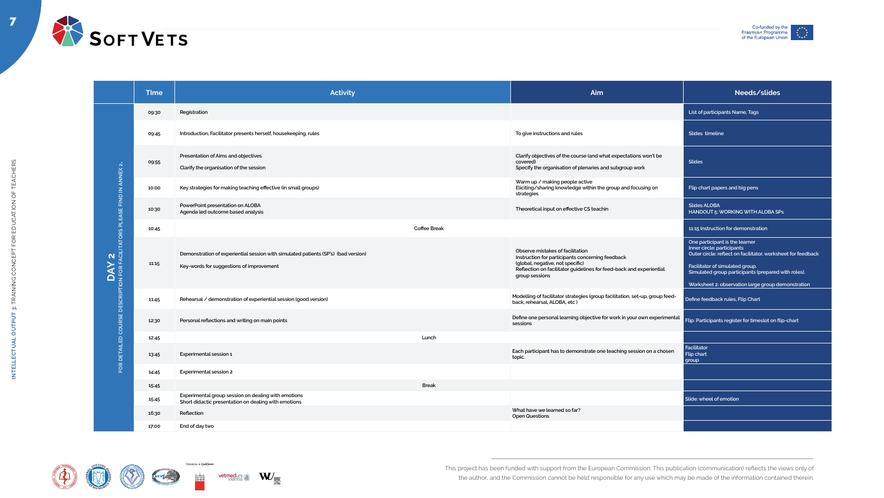

7





| List of participants Name, Tags<br>Registration<br>09:30<br>Introduction, Facilitator presents herself, housekeeping, rules<br>To give instructions and rules<br>Slides timeline<br>09:45<br>Presentation of Aims and objectives<br>Clarify objectives of the course (and what expectations won't be<br><b>Slides</b><br>covered)<br>09:55<br>$\mathbf{N}$<br>Clarify the organisation of the session<br>Specify the organisation of plenaries and subgroup work<br><b>ANNEX</b><br>Warm up / making people active<br>Eliciting/sharing knowledge within the group and focusing on<br>Key strategies for making teaching effective (in small groups)<br>Flip chart papers and big pens<br>10:00<br>$\frac{2}{2}$<br>strategies<br><b>Slides ALOBA</b><br>PowerPoint presentation on ALOBA<br>Theoretical input on effective CS teachin<br>10:30<br>Agenda led outcome based analysis<br>HANDOUT 5: WORKING WITH ALOBA SPS<br>군<br><b>Coffee Break</b><br>11:15 Instruction for demonstration<br>10:45<br>Y 2<br>EACILITATORS<br>One participant is the learner |  |
|----------------------------------------------------------------------------------------------------------------------------------------------------------------------------------------------------------------------------------------------------------------------------------------------------------------------------------------------------------------------------------------------------------------------------------------------------------------------------------------------------------------------------------------------------------------------------------------------------------------------------------------------------------------------------------------------------------------------------------------------------------------------------------------------------------------------------------------------------------------------------------------------------------------------------------------------------------------------------------------------------------------------------------------------------------------|--|
|                                                                                                                                                                                                                                                                                                                                                                                                                                                                                                                                                                                                                                                                                                                                                                                                                                                                                                                                                                                                                                                                |  |
|                                                                                                                                                                                                                                                                                                                                                                                                                                                                                                                                                                                                                                                                                                                                                                                                                                                                                                                                                                                                                                                                |  |
|                                                                                                                                                                                                                                                                                                                                                                                                                                                                                                                                                                                                                                                                                                                                                                                                                                                                                                                                                                                                                                                                |  |
|                                                                                                                                                                                                                                                                                                                                                                                                                                                                                                                                                                                                                                                                                                                                                                                                                                                                                                                                                                                                                                                                |  |
|                                                                                                                                                                                                                                                                                                                                                                                                                                                                                                                                                                                                                                                                                                                                                                                                                                                                                                                                                                                                                                                                |  |
|                                                                                                                                                                                                                                                                                                                                                                                                                                                                                                                                                                                                                                                                                                                                                                                                                                                                                                                                                                                                                                                                |  |
| Inner circle: participants<br>Observe mistakes of facilitation<br>Outer circle: reflect on facilitator, worksheet for feedback<br>Demonstration of experiential session with simulated patients (SP's) (bad version)<br>Instruction for participants concerning feedback<br>(global, negative, not specific)<br>11:15<br><b>AY</b><br>Facilitator of simulated group.<br>Key-words for suggestions of improvement<br>Reflection on facilitator guidelines for feed-back and experiential<br>Simulated group participants (prepared with roles).<br>group sessions<br>$\Omega$<br><b>P</b><br>$\Omega$<br>Worksheet 2: observation large group demonstration                                                                                                                                                                                                                                                                                                                                                                                                    |  |
| <b>EDESCRIPT</b><br>Modelling of facilitator strategies (group facilitation, set-up, group feed-<br>Define feedback rules, Flip Chart<br>Rehearsal / demonstration of experiential session (good version)<br>11:45<br>back, rehearsal, ALOBA, etc)                                                                                                                                                                                                                                                                                                                                                                                                                                                                                                                                                                                                                                                                                                                                                                                                             |  |
| Define one personal learning objective for work in your own experimental<br>COURSE<br>Flip: Participants register for timeslot on flip-chart<br>Personal reflections and writing on main points<br>12:30<br>sessions                                                                                                                                                                                                                                                                                                                                                                                                                                                                                                                                                                                                                                                                                                                                                                                                                                           |  |
| Lunch<br>$\mathsf{D}$<br>12:45                                                                                                                                                                                                                                                                                                                                                                                                                                                                                                                                                                                                                                                                                                                                                                                                                                                                                                                                                                                                                                 |  |
| <b>DETAILE</b><br>Facilitator<br>Each participant has to demonstrate one teaching session on a chosen<br>Flip chart<br><b>Experimental session 1</b><br>13:45<br>topic.<br>group<br>$\pmb{\alpha}$                                                                                                                                                                                                                                                                                                                                                                                                                                                                                                                                                                                                                                                                                                                                                                                                                                                             |  |
| $\overline{O}$<br><b>Experimental session 2</b><br>14:45                                                                                                                                                                                                                                                                                                                                                                                                                                                                                                                                                                                                                                                                                                                                                                                                                                                                                                                                                                                                       |  |
| <b>Break</b><br>15:45                                                                                                                                                                                                                                                                                                                                                                                                                                                                                                                                                                                                                                                                                                                                                                                                                                                                                                                                                                                                                                          |  |
| Experimental group session on dealing with emotions<br>Slide: wheel of emotion<br>15:45<br>Short didactic presentation on dealing with emotions                                                                                                                                                                                                                                                                                                                                                                                                                                                                                                                                                                                                                                                                                                                                                                                                                                                                                                                |  |
| What have we learned so far?<br>16:30<br>Reflection<br><b>Open Questions</b>                                                                                                                                                                                                                                                                                                                                                                                                                                                                                                                                                                                                                                                                                                                                                                                                                                                                                                                                                                                   |  |
| End of day two<br>17:00                                                                                                                                                                                                                                                                                                                                                                                                                                                                                                                                                                                                                                                                                                                                                                                                                                                                                                                                                                                                                                        |  |









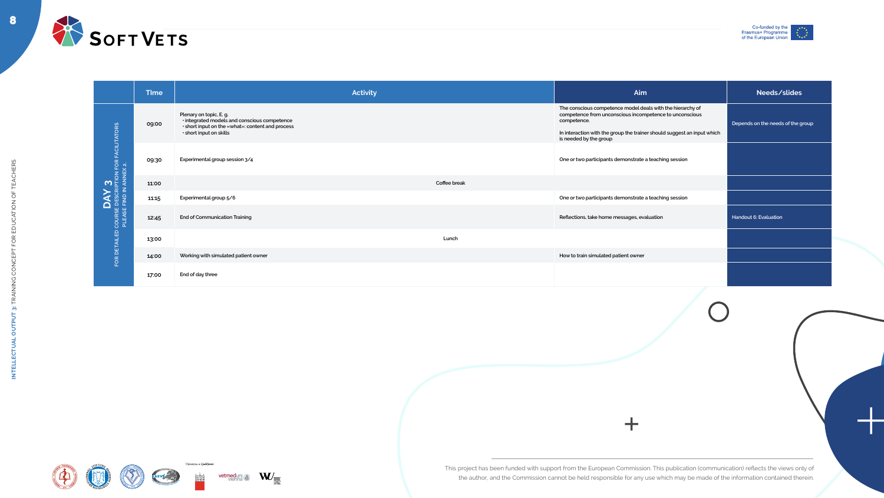

8















| <b>TIme</b> | <b>Activity</b>                                                                                                                                        | Aim                                                                                                                                                                                                                                       | Needs/slides                      |
|-------------|--------------------------------------------------------------------------------------------------------------------------------------------------------|-------------------------------------------------------------------------------------------------------------------------------------------------------------------------------------------------------------------------------------------|-----------------------------------|
| 09:00       | Plenary on topic, E. g.<br>· integrated models and conscious competence<br>· short input on the «what»: content and process<br>· short input on skills | The conscious competence model deals with the hierarchy of<br>competence from unconscious incompetence to unconscious<br>competence.<br>In interaction with the group the trainer should suggest an input which<br>is needed by the group | Depends on the needs of the group |
| 09:30       | Experimental group session 3/4                                                                                                                         | One or two participants demonstrate a teaching session                                                                                                                                                                                    |                                   |
| 11:00       | Coffee break                                                                                                                                           |                                                                                                                                                                                                                                           |                                   |
| 11:15       | Experimental group 5/6                                                                                                                                 | One or two participants demonstrate a teaching session                                                                                                                                                                                    |                                   |
| 12:45       | <b>End of Communication Training</b>                                                                                                                   | Reflections, take home messages, evaluation                                                                                                                                                                                               | <b>Handout 6: Evaluation</b>      |
| 13:00       | Lunch                                                                                                                                                  |                                                                                                                                                                                                                                           |                                   |
| 14:00       | Working with simulated patient owner                                                                                                                   | How to train simulated patient owner                                                                                                                                                                                                      |                                   |
| 17:00       | End of day three                                                                                                                                       |                                                                                                                                                                                                                                           |                                   |
|             |                                                                                                                                                        |                                                                                                                                                                                                                                           |                                   |



|                                                                                                                  | <b>Time</b> |                                                                                                                                                        | <b>Activity</b> | Ain                                                                                                                                                        |
|------------------------------------------------------------------------------------------------------------------|-------------|--------------------------------------------------------------------------------------------------------------------------------------------------------|-----------------|------------------------------------------------------------------------------------------------------------------------------------------------------------|
| $\begin{array}{ll}\n\text{DAY } 3 \\ \text{course } \text{person} \text{ for } \text{ractintators}\n\end{array}$ | 09:00       | Plenary on topic, E. g.<br>· integrated models and conscious competence<br>· short input on the «what»: content and process<br>· short input on skills |                 | The conscious competence model do<br>competence from unconscious incon<br>competence.<br>In interaction with the group the train<br>is needed by the group |
|                                                                                                                  | 09:30       | Experimental group session 3/4                                                                                                                         |                 | One or two participants demonstrate                                                                                                                        |
|                                                                                                                  | 11:00       |                                                                                                                                                        | Coffee break    |                                                                                                                                                            |
|                                                                                                                  | 11:15       | Experimental group 5/6                                                                                                                                 |                 | One or two participants demonstrate                                                                                                                        |
|                                                                                                                  | 12:45       | <b>End of Communication Training</b>                                                                                                                   |                 | Reflections, take home messages, ev                                                                                                                        |
|                                                                                                                  | 13:00       |                                                                                                                                                        | Lunch           |                                                                                                                                                            |
| FOR DETAILED                                                                                                     | 14:00       | Working with simulated patient owner                                                                                                                   |                 | How to train simulated patient owner                                                                                                                       |
|                                                                                                                  | 17:00       | End of day three                                                                                                                                       |                 |                                                                                                                                                            |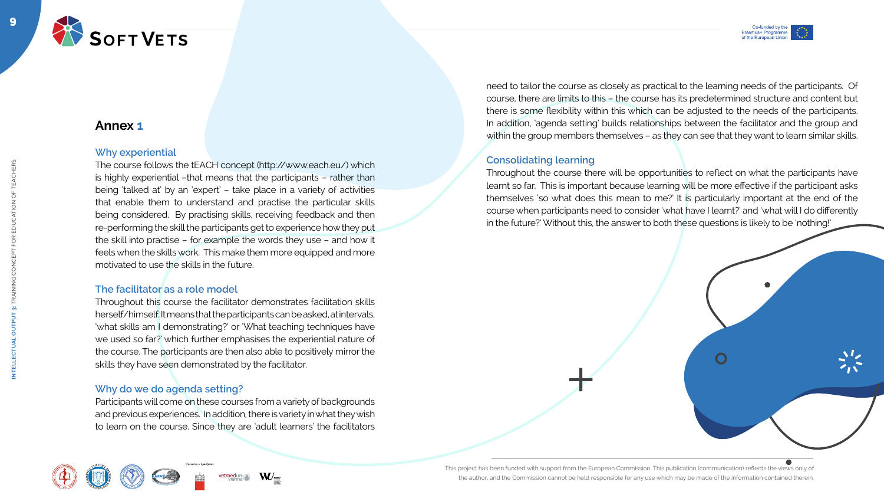







# **Annex 1**

### **Why experiential**

Throughout this course the facilitator demonstrates facilitation skills herself/himself. It means that the participants can be asked, at intervals, 'what skills am I demonstrating?' or 'What teaching techniques have we used so far?' which further emphasises the experiential nature of the course. The participants are then also able to positively mirror the skills they have seen demonstrated by the facilitator.

The course follows the tEACH concept (http://www.each.eu/) which is highly experiential –that means that the participants – rather than being 'talked at' by an 'expert' – take place in a variety of activities that enable them to understand and practise the particular skills being considered. By practising skills, receiving feedback and then re-performing the skill the participants get to experience how they put the skill into practise – for example the words they use – and how it feels when the skills work. This make them more equipped and more motivated to use the skills in the future.

### **The facilitator as a role model**

### **Why do we do agenda setting?**

Participants will come on these courses from a variety of backgrounds and previous experiences. In addition, there is variety in what they wish to learn on the course. Since they are 'adult learners' the facilitators









Univerza v Ljubljar



need to tailor the course as closely as practical to the learning needs of the participants. Of course, there are limits to this – the course has its predetermined structure and content but there is some flexibility within this which can be adjusted to the needs of the participants. In addition, 'agenda setting' builds relationships between the facilitator and the group and within the group members themselves – as they can see that they want to learn similar skills.

#### **Consolidating learning**

Throughout the course there will be opportunities to reflect on what the participants have learnt so far. This is important because learning will be more effective if the participant asks themselves 'so what does this mean to me?' It is particularly important at the end of the course when participants need to consider 'what have I learnt?' and 'what will I do differently in the future?' Without this, the answer to both these questions is likely to be 'nothing!'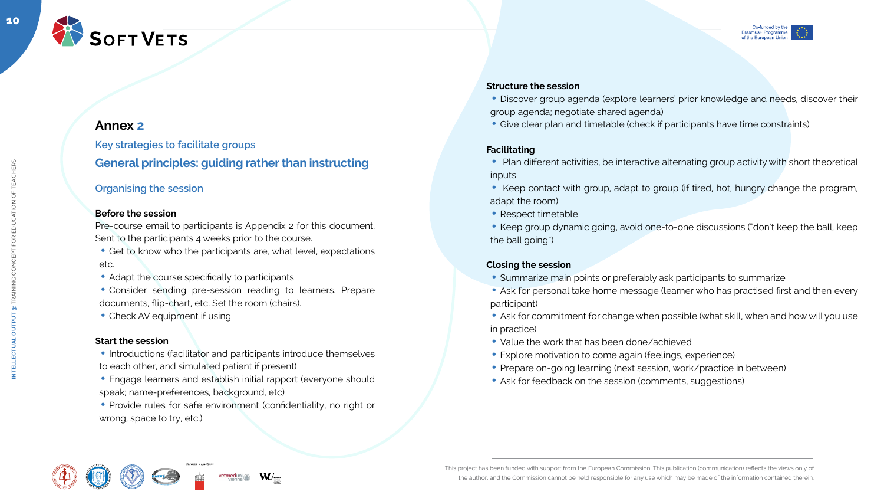

10

**INTELLECTUAL OUTPUT 3:** TRAINING CONCEPT FOR EDUCATION OF TEACHERS



# **Annex 2**

**Key strategies to facilitate groups General principles: guiding rather than instructing**

• Consider sending pre-session reading to learners. Prepare documents, flip-chart, etc. Set the room (chairs).

• Check AV equipment if using

### **Organising the session**

#### **Before the session**

• Introductions (facilitator and participants introduce themselves to each other, and simulated patient if present)

Pre-course email to participants is Appendix 2 for this document. Sent to the participants 4 weeks prior to the course.

- Get to know who the participants are, what level, expectations etc.
- Adapt the course specifically to participants

• Engage learners and establish initial rapport (everyone should speak; name-preferences, background, etc)

• Provide rules for safe environment (confidentiality, no right or wrong, space to try, etc.)











#### **Start the session**

- Plan different activities, be interactive alternating group activity with short theoretical inputs
- Keep contact with group, adapt to group (if tired, hot, hungry change the program, adapt the room)
- Respect timetable
- Keep group dynamic going, avoid one-to-one discussions ("don't keep the ball, keep the ball going")

#### **Structure the session**

- Discover group agenda (explore learners' prior knowledge and needs, discover their group agenda; negotiate shared agenda)
- Give clear plan and timetable (check if participants have time constraints)

#### **Facilitating**

#### **Closing the session**

- Summarize main points or preferably ask participants to summarize
- Ask for personal take home message (learner who has practised first and then every participant)
- Ask for commitment for change when possible (what skill, when and how will you use in practice)
- Value the work that has been done/achieved
- Explore motivation to come again (feelings, experience)
- Prepare on-going learning (next session, work/practice in between)
- Ask for feedback on the session (comments, suggestions)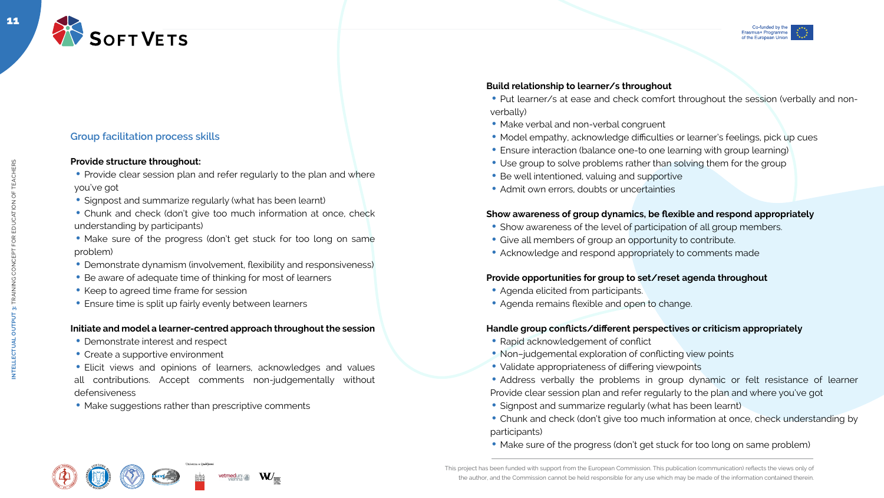



### **Group facilitation process skills**

#### **Provide structure throughout:**

- Provide clear session plan and refer regularly to the plan and where you've got
- Signpost and summarize regularly (what has been learnt)
- Chunk and check (don't give too much information at once, check understanding by participants)
- Make sure of the progress (don't get stuck for too long on same problem)
- Demonstrate dynamism (involvement, flexibility and responsiveness)
- Be aware of adequate time of thinking for most of learners
- Keep to agreed time frame for session
- Ensure time is split up fairly evenly between learners

### **Initiate and model a learner-centred approach throughout the session**

- Demonstrate interest and respect
- Create a supportive environment
- Elicit views and opinions of learners, acknowledges and values all contributions. Accept comments non-judgementally without defensiveness
- Make suggestions rather than prescriptive comments









#### **Build relationship to learner/s throughout**

- Put learner/s at ease and check comfort throughout the session (verbally and nonverbally)
- Make verbal and non-verbal congruent
- Model empathy, acknowledge difficulties or learner's feelings, pick up cues
- Ensure interaction (balance one-to one learning with group learning)
- Use group to solve problems rather than solving them for the group
- Be well intentioned, valuing and supportive
- Admit own errors, doubts or uncertainties

#### **Show awareness of group dynamics, be flexible and respond appropriately**

- Show awareness of the level of participation of all group members.
- Give all members of group an opportunity to contribute.
- Acknowledge and respond appropriately to comments made

#### **Provide opportunities for group to set/reset agenda throughout**

- Agenda elicited from participants.
- Agenda remains flexible and open to change.

#### **Handle group conflicts/different perspectives or criticism appropriately**

- Rapid acknowledgement of conflict
- Non-judgemental exploration of conflicting view points
- Validate appropriateness of differing viewpoints
- Address verbally the problems in group dynamic or felt resistance of learner Provide clear session plan and refer regularly to the plan and where you've got
- Signpost and summarize regularly (what has been learnt)
- Chunk and check (don't give too much information at once, check understanding by participants)
- Make sure of the progress (don't get stuck for too long on same problem)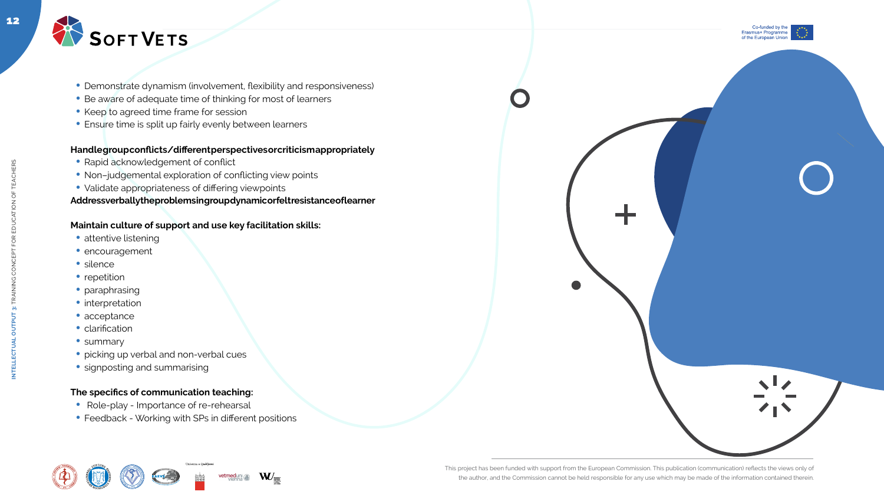

- Demonstrate dynamism (involvement, flexibility and responsiveness)
- Be aware of adequate time of thinking for most of learners
- Keep to agreed time frame for session
- Ensure time is split up fairly evenly between learners



#### **Handle group conflicts/different perspectives or criticism appropriately**

- Rapid acknowledgement of conflict
- Non-judgemental exploration of conflicting view points
- Validate appropriateness of differing viewpoints

#### **Address verbally the problems in group dynamic or felt resistance of learner**

#### **Maintain culture of support and use key facilitation skills:**

- attentive listening
- encouragement
- silence
- repetition
- paraphrasing
- $\bullet$  interpretation
- acceptance
- clarification
- summary
- picking up verbal and non-verbal cues
- signposting and summarising

#### **The specifics of communication teaching:**

- Role-play Importance of re-rehearsal
- Feedback Working with SPs in different positions







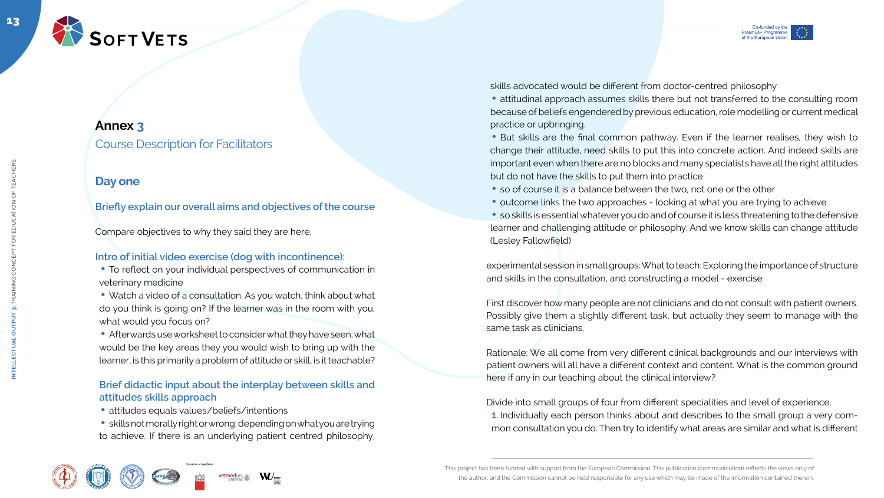

13



• To reflect on your individual perspectives of communication in veterinary medicine



# **Annex 3**

Course Description for Facilitators

# **Day one**

• Watch a video of a consultation. As you watch, think about what do you think is going on? If the learner was in the room with you, what would you focus on?

**Briefly explain our overall aims and objectives of the course**

Compare objectives to why they said they are here.

• Afterwards use worksheet to consider what they have seen, what would be the key areas they you would wish to bring up with the learner, is this primarily a problem of attitude or skill, is it teachable?

## **Intro of initial video exercise (dog with incontinence):**

- attitudes equals values/beliefs/intentions
- skills not morally right or wrong, depending on what you are trying to achieve. If there is an underlying patient centred philosophy,











• attitudinal approach assumes skills there but not transferred to the consulting room because of beliefs engendered by previous education, role modelling or current medical practice or upbringing.

• But skills are the final common pathway. Even if the learner realises, they wish to change their attitude, need skills to put this into concrete action. And indeed skills are important even when there are no blocks and many specialists have all the right attitudes but do not have the skills to put them into practice

- so of course it is a balance between the two, not one or the other
- outcome links the two approaches looking at what you are trying to achieve

### **Brief didactic input about the interplay between skills and attitudes skills approach**

• so skills is essential whatever you do and of course it is less threatening to the defensive learner and challenging attitude or philosophy. And we know skills can change attitude (Lesley Fallowfield)

skills advocated would be different from doctor-centred philosophy

experimental session in small groups: What to teach: Exploring the importance of structure and skills in the consultation, and constructing a model - exercise

First discover how many people are not clinicians and do not consult with patient owners. Possibly give them a slightly different task, but actually they seem to manage with the same task as clinicians.

Rationale: We all come from very different clinical backgrounds and our interviews with patient owners will all have a different context and content. What is the common ground here if any in our teaching about the clinical interview?

Divide into small groups of four from different specialities and level of experience. **1.** Individually each person thinks about and describes to the small group a very common consultation you do. Then try to identify what areas are similar and what is different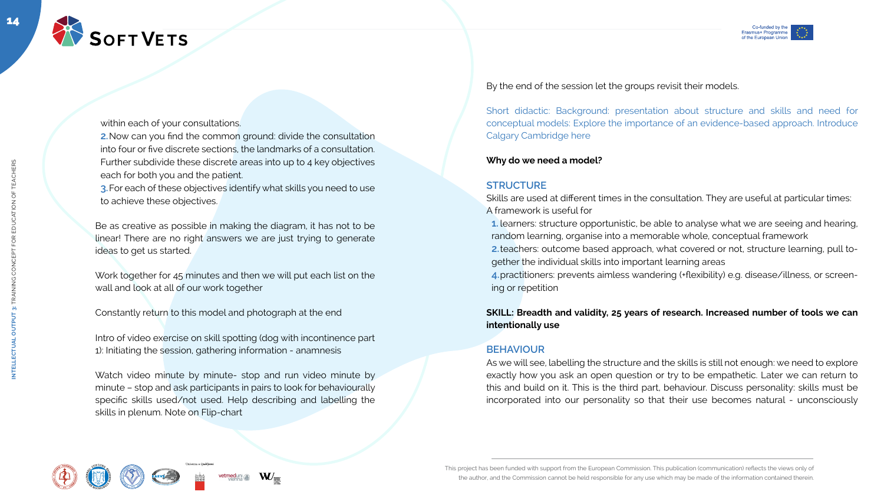











within each of your consultations.

**2.**Now can you find the common ground: divide the consultation into four or five discrete sections, the landmarks of a consultation. Further subdivide these discrete areas into up to 4 key objectives each for both you and the patient.

**3.**For each of these objectives identify what skills you need to use to achieve these objectives.

Be as creative as possible in making the diagram, it has not to be linear! There are no right answers we are just trying to generate ideas to get us started.

Work together for 45 minutes and then we will put each list on the wall and look at all of our work together

Constantly return to this model and photograph at the end

Intro of video exercise on skill spotting (dog with incontinence part 1): Initiating the session, gathering information - anamnesis

Watch video minute by minute- stop and run video minute by minute – stop and ask participants in pairs to look for behaviourally specific skills used/not used. Help describing and labelling the skills in plenum. Note on Flip-chart









 $\mathbf{W}_{-}$ 

By the end of the session let the groups revisit their models.

Short didactic: Background: presentation about structure and skills and need for conceptual models: Explore the importance of an evidence-based approach. Introduce Calgary Cambridge here

#### **Why do we need a model?**

#### **STRUCTURE**

Skills are used at different times in the consultation. They are useful at particular times: A framework is useful for

**1.** learners: structure opportunistic, be able to analyse what we are seeing and hearing, random learning, organise into a memorable whole, conceptual framework

**2.**teachers: outcome based approach, what covered or not, structure learning, pull together the individual skills into important learning areas

**4.**practitioners: prevents aimless wandering (+flexibility) e.g. disease/illness, or screening or repetition

#### **SKILL: Breadth and validity, 25 years of research. Increased number of tools we can intentionally use**

#### **BEHAVIOUR**

As we will see, labelling the structure and the skills is still not enough: we need to explore exactly how you ask an open question or try to be empathetic. Later we can return to this and build on it. This is the third part, behaviour. Discuss personality: skills must be incorporated into our personality so that their use becomes natural - unconsciously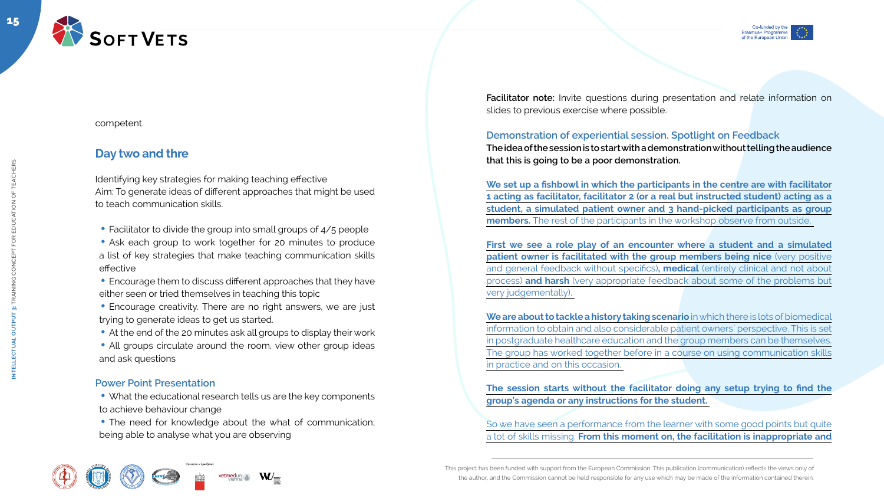









competent.

# **Day two and thre**

Identifying key strategies for making teaching effective Aim: To generate ideas of different approaches that might be used to teach communication skills.

- Facilitator to divide the group into small groups of 4/5 people
- Ask each group to work together for 20 minutes to produce a list of key strategies that make teaching communication skills effective
- Encourage them to discuss different approaches that they have either seen or tried themselves in teaching this topic
- Encourage creativity. There are no right answers, we are just trying to generate ideas to get us started.
- At the end of the 20 minutes ask all groups to display their work
- All groups circulate around the room, view other group ideas and ask questions

- What the educational research tells us are the key components to achieve behaviour change
- The need for knowledge about the what of communication; being able to analyse what you are observing

W<sub>=</sub>











### **Power Point Presentation**

**Facilitator note:** Invite questions during presentation and relate information on slides to previous exercise where possible.

#### **Demonstration of experiential session. Spotlight on Feedback**

**The idea of the session is to start with a demonstration without telling the audience that this is going to be a poor demonstration.**

**We set up a fishbowl in which the participants in the centre are with facilitator 1 acting as facilitator, facilitator 2 (or a real but instructed student) acting as a student, a simulated patient owner and 3 hand-picked participants as group members.** The rest of the participants in the workshop observe from outside.

**First we see a role play of an encounter where a student and a simulated patient owner is facilitated with the group members being nice** (very positive and general feedback without specifics)**, medical** (entirely clinical and not about process) **and harsh** (very appropriate feedback about some of the problems but very judgementally).

**We are about to tackle a history taking scenario** in which there is lots of biomedical information to obtain and also considerable patient owners` perspective. This is set in postgraduate healthcare education and the group members can be themselves. The group has worked together before in a course on using communication skills in practice and on this occasion.

**The session starts without the facilitator doing any setup trying to find the group's agenda or any instructions for the student.** 

So we have seen a performance from the learner with some good points but quite a lot of skills missing. **From this moment on, the facilitation is inappropriate and**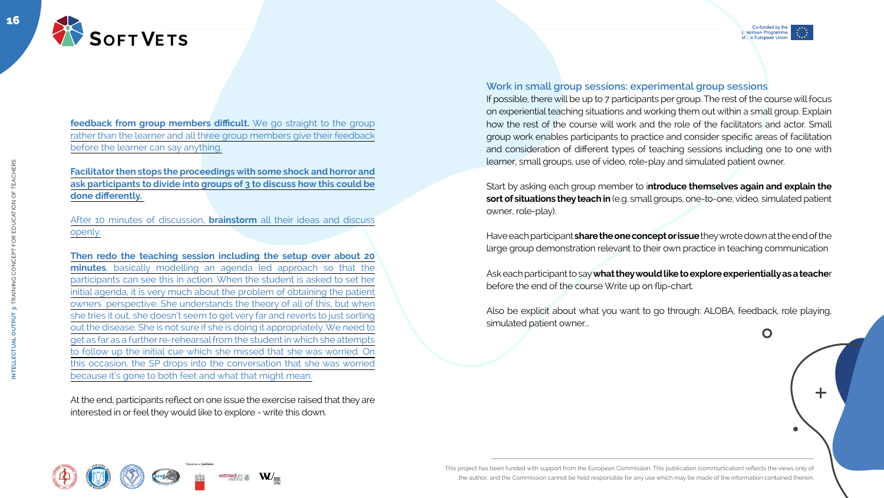

╈

feedback from group members difficult. We go straight to the group rather than the learner and all three group members give their feedback before the learner can say anything.



16

**INTELLECTUAL OUTPUT 3:** TRAINING CONCEPT FOR EDUCATION OF TEACHERS

**OUTPUT** 

**INTELLECTUAL** 

3: TRAINING CONCEPT FOR EDUCATION OF TEACHERS

#### **Facilitator then stops the proceedings with some shock and horror and ask participants to divide into groups of 3 to discuss how this could be done differently.**

After 10 minutes of discussion, **brainstorm** all their ideas and discuss openly.

**Then redo the teaching session including the setup over about 20 minutes**, basically modelling an agenda led approach so that the participants can see this in action. When the student is asked to set her initial agenda, it is very much about the problem of obtaining the patient owners` perspective. She understands the theory of all of this, but when she tries it out, she doesn't seem to get very far and reverts to just sorting out the disease. She is not sure if she is doing it appropriately. We need to get as far as a further re-rehearsal from the student in which she attempts to follow up the initial cue which she missed that she was worried. On this occasion, the SP drops into the conversation that she was worried because it's gone to both feet and what that might mean.

At the end, participants reflect on one issue the exercise raised that they are interested in or feel they would like to explore - write this down.











 $\mathbf O$ 

#### **Work in small group sessions: experimental group sessions**

If possible, there will be up to 7 participants per group. The rest of the course will focus on experiential teaching situations and working them out within a small group. Explain how the rest of the course will work and the role of the facilitators and actor. Small group work enables participants to practice and consider specific areas of facilitation and consideration of different types of teaching sessions including one to one with learner, small groups, use of video, role-play and simulated patient owner.

Start by asking each group member to i**ntroduce themselves again and explain the sort of situations they teach in** (e.g. small groups, one-to-one, video, simulated patient owner, role-play).

Have each participant **share the one concept or issue** they wrote down at the end of the large group demonstration relevant to their own practice in teaching communication

Ask each participant to say **what they would like to explore experientially as a teache**r before the end of the course Write up on flip-chart.

Also be explicit about what you want to go through: ALOBA, feedback, role playing, simulated patient owner...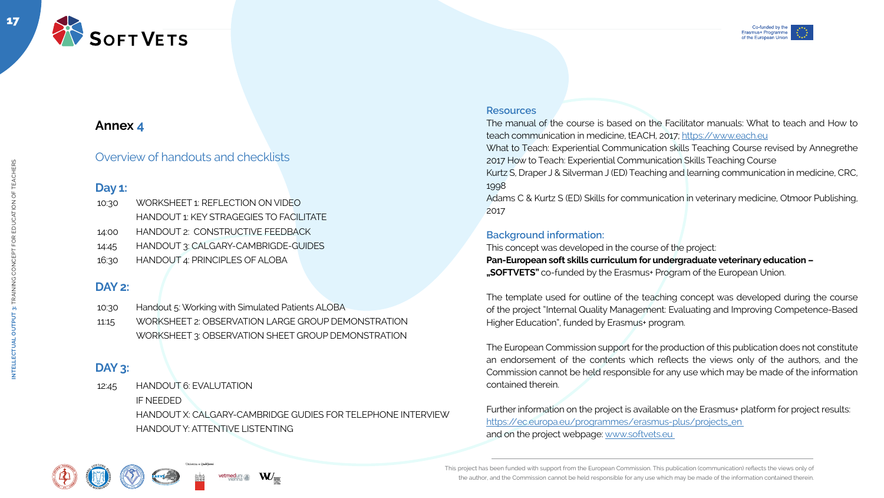





The manual of the course is based on the Facilitator manuals: What to teach and How to teach communication in medicine, tEACH, 2017;<https://www.each.eu>



17

**INTELLECTUAL OUTPUT 3:** TRAINING CONCEPT FOR EDUCATION OF TEACHERS

CONCEPT FOR EDUCATION OF TEACHERS

# **Annex 4**

Overview of handouts and checklists

# **Day 1:**

# **DAY 2:**

# **DAY 3:**

#### **Resources**

What to Teach: Experiential Communication skills Teaching Course revised by Annegrethe 2017 How to Teach: Experiential Communication Skills Teaching Course

Kurtz S, Draper J & Silverman J (ED) Teaching and learning communication in medicine, CRC, 1998

Further information on the project is available on the Erasmus+ platform for project results: [https://ec.europa.eu/programmes/erasmus-plus/projects\\_en](https://ec.europa.eu/programmes/erasmus-plus/projects_en  )  and on the project webpage: www.softvets.eu

Adams C & Kurtz S (ED) Skills for communication in veterinary medicine, Otmoor Publishing, 2017

#### **Background information:**

This concept was developed in the course of the project:

**Pan-European soft skills curriculum for undergraduate veterinary education – "SOFTVETS"** co-funded by the Erasmus+ Program of the European Union.

The template used for outline of the teaching concept was developed during the course of the project "Internal Quality Management: Evaluating and Improving Competence-Based Higher Education", funded by Erasmus+ program.

The European Commission support for the production of this publication does not constitute an endorsement of the contents which reflects the views only of the authors, and the Commission cannot be held responsible for any use which may be made of the information contained therein.

| 10:30 | WORKSHEET 1: REFLECTION ON VIDEO               |
|-------|------------------------------------------------|
|       | <b>HANDOUT 1: KEY STRAGEGIES TO FACILITATE</b> |
| 14:00 | HANDOUT 2: CONSTRUCTIVE FEEDBACK               |
| 14.45 | HANDOUT 3: CALGARY-CAMBRIGDE-GUIDES            |
| 16:30 | <b>HANDOUT 4: PRINCIPLES OF ALOBA</b>          |

| 10:30 | Handout 5: Working with Simulated Patients ALOBA   |
|-------|----------------------------------------------------|
| 11:15 | WORKSHEET 2: OBSERVATION LARGE GROUP DEMONSTRATION |

WORKSHEET 3: OBSERVATION SHEET GROUP DEMONSTRATION

12:45 HANDOUT 6: EVALUTATION IF NEEDED HANDOUT X: CALGARY-CAMBRIDGE GUDIES FOR TELEPHONE INTERVIEW HANDOUT Y: ATTENTIVE LISTENTING

W<sub>=</sub>